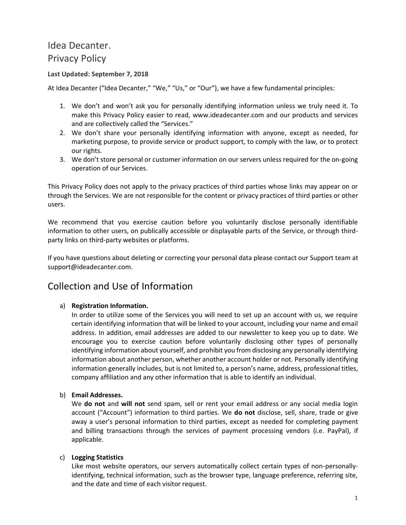# Idea Decanter. Privacy Policy

#### **Last Updated: September 7, 2018**

At Idea Decanter ("Idea Decanter," "We," "Us," or "Our"), we have a few fundamental principles:

- 1. We don't and won't ask you for personally identifying information unless we truly need it. To make this Privacy Policy easier to read, www.ideadecanter.com and our products and services and are collectively called the "Services."
- 2. We don't share your personally identifying information with anyone, except as needed, for marketing purpose, to provide service or product support, to comply with the law, or to protect our rights.
- 3. We don't store personal or customer information on our servers unless required for the on-going operation of our Services.

This Privacy Policy does not apply to the privacy practices of third parties whose links may appear on or through the Services. We are not responsible for the content or privacy practices of third parties or other users.

We recommend that you exercise caution before you voluntarily disclose personally identifiable information to other users, on publically accessible or displayable parts of the Service, or through thirdparty links on third-party websites or platforms.

If you have questions about deleting or correcting your personal data please contact our Support team at support@ideadecanter.com.

#### Collection and Use of Information

#### a) **Registration Information.**

In order to utilize some of the Services you will need to set up an account with us, we require certain identifying information that will be linked to your account, including your name and email address. In addition, email addresses are added to our newsletter to keep you up to date. We encourage you to exercise caution before voluntarily disclosing other types of personally identifying information about yourself, and prohibit you from disclosing any personally identifying information about another person, whether another account holder or not. Personally identifying information generally includes, but is not limited to, a person's name, address, professional titles, company affiliation and any other information that is able to identify an individual.

#### b) **Email Addresses.**

We **do not** and **will not** send spam, sell or rent your email address or any social media login account ("Account") information to third parties. We **do not** disclose, sell, share, trade or give away a user's personal information to third parties, except as needed for completing payment and billing transactions through the services of payment processing vendors (i.e. PayPal), if applicable.

#### c) **Logging Statistics**

Like most website operators, our servers automatically collect certain types of non-personallyidentifying, technical information, such as the browser type, language preference, referring site, and the date and time of each visitor request.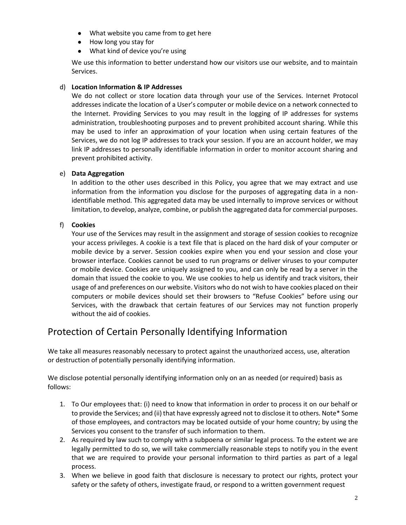- What website you came from to get here
- How long you stay for
- What kind of device you're using

We use this information to better understand how our visitors use our website, and to maintain Services.

#### d) **Location Information & IP Addresses**

We do not collect or store location data through your use of the Services. Internet Protocol addresses indicate the location of a User's computer or mobile device on a network connected to the Internet. Providing Services to you may result in the logging of IP addresses for systems administration, troubleshooting purposes and to prevent prohibited account sharing. While this may be used to infer an approximation of your location when using certain features of the Services, we do not log IP addresses to track your session. If you are an account holder, we may link IP addresses to personally identifiable information in order to monitor account sharing and prevent prohibited activity.

#### e) **Data Aggregation**

In addition to the other uses described in this Policy, you agree that we may extract and use information from the information you disclose for the purposes of aggregating data in a nonidentifiable method. This aggregated data may be used internally to improve services or without limitation, to develop, analyze, combine, or publish the aggregated data for commercial purposes.

#### f) **Cookies**

Your use of the Services may result in the assignment and storage of session cookies to recognize your access privileges. A cookie is a text file that is placed on the hard disk of your computer or mobile device by a server. Session cookies expire when you end your session and close your browser interface. Cookies cannot be used to run programs or deliver viruses to your computer or mobile device. Cookies are uniquely assigned to you, and can only be read by a server in the domain that issued the cookie to you. We use cookies to help us identify and track visitors, their usage of and preferences on our website. Visitors who do not wish to have cookies placed on their computers or mobile devices should set their browsers to "Refuse Cookies" before using our Services, with the drawback that certain features of our Services may not function properly without the aid of cookies.

## Protection of Certain Personally Identifying Information

We take all measures reasonably necessary to protect against the unauthorized access, use, alteration or destruction of potentially personally identifying information.

We disclose potential personally identifying information only on an as needed (or required) basis as follows:

- 1. To Our employees that: (i) need to know that information in order to process it on our behalf or to provide the Services; and (ii) that have expressly agreed not to disclose it to others. Note\* Some of those employees, and contractors may be located outside of your home country; by using the Services you consent to the transfer of such information to them.
- 2. As required by law such to comply with a subpoena or similar legal process. To the extent we are legally permitted to do so, we will take commercially reasonable steps to notify you in the event that we are required to provide your personal information to third parties as part of a legal process.
- 3. When we believe in good faith that disclosure is necessary to protect our rights, protect your safety or the safety of others, investigate fraud, or respond to a written government request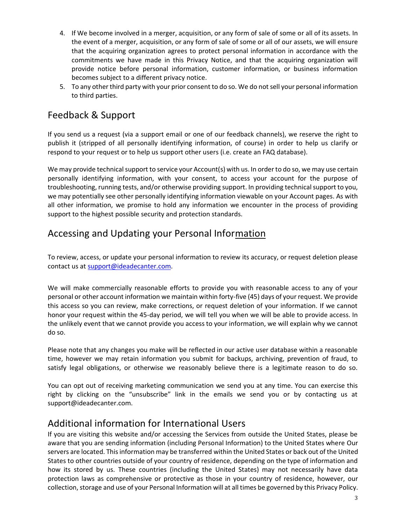- 4. If We become involved in a merger, acquisition, or any form of sale of some or all of its assets. In the event of a merger, acquisition, or any form of sale of some or all of our assets, we will ensure that the acquiring organization agrees to protect personal information in accordance with the commitments we have made in this Privacy Notice, and that the acquiring organization will provide notice before personal information, customer information, or business information becomes subject to a different privacy notice.
- 5. To any other third party with your prior consent to do so. We do not sell your personal information to third parties.

# Feedback & Support

If you send us a request (via a support email or one of our feedback channels), we reserve the right to publish it (stripped of all personally identifying information, of course) in order to help us clarify or respond to your request or to help us support other users (i.e. create an FAQ database).

We may provide technical support to service your Account(s) with us. In order to do so, we may use certain personally identifying information, with your consent, to access your account for the purpose of troubleshooting, running tests, and/or otherwise providing support. In providing technical support to you, we may potentially see other personally identifying information viewable on your Account pages. As with all other information, we promise to hold any information we encounter in the process of providing support to the highest possible security and protection standards.

## Accessing and Updating your Personal Info[rmation](mailto:mationTo%20review,%20access,%20or%20update%20your%20personal%20information%20to%20review)

[To review, access, or update your personal information to review](mailto:mationTo%20review,%20access,%20or%20update%20your%20personal%20information%20to%20review) its accuracy, or request deletion please contact us at [support@ideadecanter.com.](mailto:support@petite2queen.com)

We will make commercially reasonable efforts to provide you with reasonable access to any of your personal or other account information we maintain within forty-five (45) days of your request. We provide this access so you can review, make corrections, or request deletion of your information. If we cannot honor your request within the 45-day period, we will tell you when we will be able to provide access. In the unlikely event that we cannot provide you access to your information, we will explain why we cannot do so.

Please note that any changes you make will be reflected in our active user database within a reasonable time, however we may retain information you submit for backups, archiving, prevention of fraud, to satisfy legal obligations, or otherwise we reasonably believe there is a legitimate reason to do so.

You can opt out of receiving marketing communication we send you at any time. You can exercise this right by clicking on the "unsubscribe" link in the emails we send you or by contacting us at support@ideadecanter.com.

## Additional information for International Users

If you are visiting this website and/or accessing the Services from outside the United States, please be aware that you are sending information (including Personal Information) to the United States where Our servers are located. This information may be transferred within the United States or back out of the United States to other countries outside of your country of residence, depending on the type of information and how its stored by us. These countries (including the United States) may not necessarily have data protection laws as comprehensive or protective as those in your country of residence, however, our collection, storage and use of your Personal Information will at all times be governed by this Privacy Policy.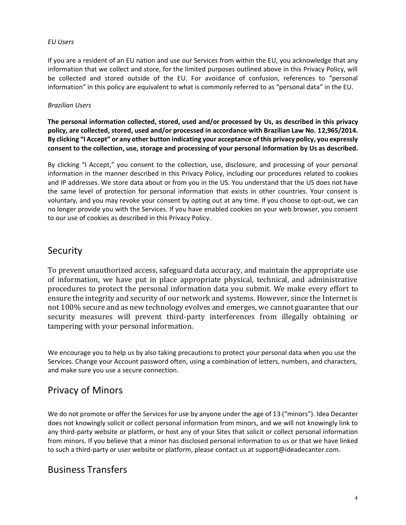#### *EU Users*

If you are a resident of an EU nation and use our Services from within the EU, you acknowledge that any information that we collect and store, for the limited purposes outlined above in this Privacy Policy, will be collected and stored outside of the EU. For avoidance of confusion, references to "personal information" in this policy are equivalent to what is commonly referred to as "personal data" in the EU.

#### *Brazilian Users*

**The personal information collected, stored, used and/or processed by Us, as described in this privacy policy, are collected, stored, used and/or processed in accordance with Brazilian Law No. 12,965/2014. By clicking "I Accept" or any other button indicating your acceptance of this privacy policy, you expressly consent to the collection, use, storage and processing of your personal information by Us as described.**

By clicking "I Accept," you consent to the collection, use, disclosure, and processing of your personal information in the manner described in this Privacy Policy, including our procedures related to cookies and IP addresses. We store data about or from you in the US. You understand that the US does not have the same level of protection for personal information that exists in other countries. Your consent is voluntary, and you may revoke your consent by opting out at any time. If you choose to opt-out, we can no longer provide you with the Services. If you have enabled cookies on your web browser, you consent to our use of cookies as described in this Privacy Policy.

#### Security

To prevent unauthorized access, safeguard data accuracy, and maintain the appropriate use of information, we have put in place appropriate physical, technical, and administrative procedures to protect the personal information data you submit. We make every effort to ensure the integrity and security of our network and systems. However, since the Internet is not 100% secure and as new technology evolves and emerges, we cannot guarantee that our security measures will prevent third-party interferences from illegally obtaining or tampering with your personal information.

We encourage you to help us by also taking precautions to protect your personal data when you use the Services. Change your Account password often, using a combination of letters, numbers, and characters, and make sure you use a secure connection.

## Privacy of Minors

We do not promote or offer the Services for use by anyone under the age of 13 ("minors"). Idea Decanter does not knowingly solicit or collect personal information from minors, and we will not knowingly link to any third-party website or platform, or host any of your Sites that solicit or collect personal information from minors. If you believe that a minor has disclosed personal information to us or that we have linked to such a third-party or user website or platform, please contact us at support@ideadecanter.com.

#### Business Transfers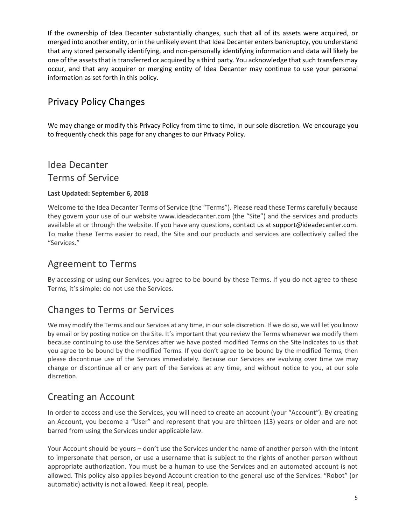If the ownership of Idea Decanter substantially changes, such that all of its assets were acquired, or merged into another entity, or in the unlikely event that Idea Decanter enters bankruptcy, you understand that any stored personally identifying, and non-personally identifying information and data will likely be one of the assets that is transferred or acquired by a third party. You acknowledge that such transfers may occur, and that any acquirer or merging entity of Idea Decanter may continue to use your personal information as set forth in this policy.

# Privacy Policy Changes

We may change or modify this Privacy Policy from time to time, in our sole discretion. We encourage you to frequently check this page for any changes to our Privacy Policy.

# Idea Decanter Terms of Service

#### **Last Updated: September 6, 2018**

Welcome to the Idea Decanter Terms of Service (the "Terms"). Please read these Terms carefully because they govern your use of our website www.ideadecanter.com (the "Site") and the services and products available at or through the website. If you have any questions, contact us at support@ideadecanter.com. To make these Terms easier to read, the Site and our products and services are collectively called the "Services."

#### Agreement to Terms

By accessing or using our Services, you agree to be bound by these Terms. If you do not agree to these Terms, it's simple: do not use the Services.

## Changes to Terms or Services

We may modify the Terms and our Services at any time, in our sole discretion. If we do so, we will let you know by email or by posting notice on the Site. It's important that you review the Terms whenever we modify them because continuing to use the Services after we have posted modified Terms on the Site indicates to us that you agree to be bound by the modified Terms. If you don't agree to be bound by the modified Terms, then please discontinue use of the Services immediately. Because our Services are evolving over time we may change or discontinue all or any part of the Services at any time, and without notice to you, at our sole discretion.

## Creating an Account

In order to access and use the Services, you will need to create an account (your "Account"). By creating an Account, you become a "User" and represent that you are thirteen (13) years or older and are not barred from using the Services under applicable law.

Your Account should be yours – don't use the Services under the name of another person with the intent to impersonate that person, or use a username that is subject to the rights of another person without appropriate authorization. You must be a human to use the Services and an automated account is not allowed. This policy also applies beyond Account creation to the general use of the Services. "Robot" (or automatic) activity is not allowed. Keep it real, people.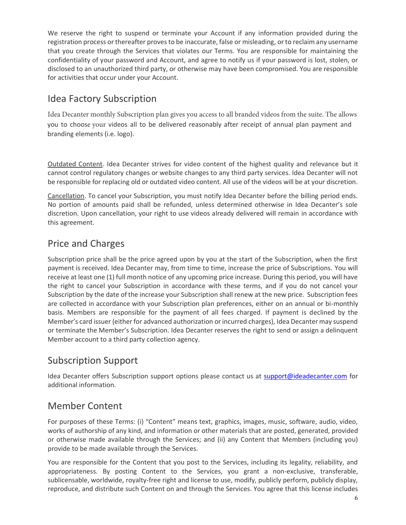We reserve the right to suspend or terminate your Account if any information provided during the registration process or thereafter proves to be inaccurate, false or misleading, or to reclaim any username that you create through the Services that violates our Terms. You are responsible for maintaining the confidentiality of your password and Account, and agree to notify us if your password is lost, stolen, or disclosed to an unauthorized third party, or otherwise may have been compromised. You are responsible for activities that occur under your Account.

## Idea Factory Subscription

Idea Decanter monthly Subscription plan gives you access to all branded videos from the suite. The allows you to choose your videos all to be delivered reasonably after receipt of annual plan payment and branding elements (i.e. logo).

Outdated Content. Idea Decanter strives for video content of the highest quality and relevance but it cannot control regulatory changes or website changes to any third party services. Idea Decanter will not be responsible for replacing old or outdated video content. All use of the videos will be at your discretion.

Cancellation. To cancel your Subscription, you must notify Idea Decanter before the billing period ends. No portion of amounts paid shall be refunded, unless determined otherwise in Idea Decanter's sole discretion. Upon cancellation, your right to use videos already delivered will remain in accordance with this agreement.

# Price and Charges

Subscription price shall be the price agreed upon by you at the start of the Subscription, when the first payment is received. Idea Decanter may, from time to time, increase the price of Subscriptions. You will receive at least one (1) full month notice of any upcoming price increase. During this period, you will have the right to cancel your Subscription in accordance with these terms, and if you do not cancel your Subscription by the date of the increase your Subscription shall renew at the new price. Subscription fees are collected in accordance with your Subscription plan preferences, either on an annual or bi-monthly basis. Members are responsible for the payment of all fees charged. If payment is declined by the Member's card issuer (either for advanced authorization or incurred charges), Idea Decanter may suspend or terminate the Member's Subscription. Idea Decanter reserves the right to send or assign a delinquent Member account to a third party collection agency.

# Subscription Support

Idea Decanter offers Subscription support options please contact us at [support@ideadecanter.com](mailto:support@ideadecanter.com) for additional information.

## Member Content

For purposes of these Terms: (i) "Content" means text, graphics, images, music, software, audio, video, works of authorship of any kind, and information or other materials that are posted, generated, provided or otherwise made available through the Services; and (ii) any Content that Members (including you) provide to be made available through the Services.

You are responsible for the Content that you post to the Services, including its legality, reliability, and appropriateness. By posting Content to the Services, you grant a non-exclusive, transferable, sublicensable, worldwide, royalty-free right and license to use, modify, publicly perform, publicly display, reproduce, and distribute such Content on and through the Services. You agree that this license includes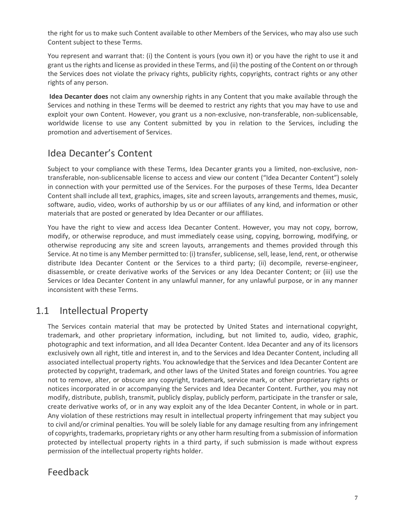the right for us to make such Content available to other Members of the Services, who may also use such Content subject to these Terms.

You represent and warrant that: (i) the Content is yours (you own it) or you have the right to use it and grant us the rights and license as provided in these Terms, and (ii) the posting of the Content on or through the Services does not violate the privacy rights, publicity rights, copyrights, contract rights or any other rights of any person.

**Idea Decanter does** not claim any ownership rights in any Content that you make available through the Services and nothing in these Terms will be deemed to restrict any rights that you may have to use and exploit your own Content. However, you grant us a non-exclusive, non-transferable, non-sublicensable, worldwide license to use any Content submitted by you in relation to the Services, including the promotion and advertisement of Services.

## Idea Decanter's Content

Subject to your compliance with these Terms, Idea Decanter grants you a limited, non-exclusive, nontransferable, non-sublicensable license to access and view our content ("Idea Decanter Content") solely in connection with your permitted use of the Services. For the purposes of these Terms, Idea Decanter Content shall include all text, graphics, images, site and screen layouts, arrangements and themes, music, software, audio, video, works of authorship by us or our affiliates of any kind, and information or other materials that are posted or generated by Idea Decanter or our affiliates.

You have the right to view and access Idea Decanter Content. However, you may not copy, borrow, modify, or otherwise reproduce, and must immediately cease using, copying, borrowing, modifying, or otherwise reproducing any site and screen layouts, arrangements and themes provided through this Service. At no time is any Member permitted to: (i) transfer, sublicense, sell, lease, lend, rent, or otherwise distribute Idea Decanter Content or the Services to a third party; (ii) decompile, reverse-engineer, disassemble, or create derivative works of the Services or any Idea Decanter Content; or (iii) use the Services or Idea Decanter Content in any unlawful manner, for any unlawful purpose, or in any manner inconsistent with these Terms.

## 1.1 Intellectual Property

The Services contain material that may be protected by United States and international copyright, trademark, and other proprietary information, including, but not limited to, audio, video, graphic, photographic and text information, and all Idea Decanter Content. Idea Decanter and any of its licensors exclusively own all right, title and interest in, and to the Services and Idea Decanter Content, including all associated intellectual property rights. You acknowledge that the Services and Idea Decanter Content are protected by copyright, trademark, and other laws of the United States and foreign countries. You agree not to remove, alter, or obscure any copyright, trademark, service mark, or other proprietary rights or notices incorporated in or accompanying the Services and Idea Decanter Content. Further, you may not modify, distribute, publish, transmit, publicly display, publicly perform, participate in the transfer or sale, create derivative works of, or in any way exploit any of the Idea Decanter Content, in whole or in part. Any violation of these restrictions may result in intellectual property infringement that may subject you to civil and/or criminal penalties. You will be solely liable for any damage resulting from any infringement of copyrights, trademarks, proprietary rights or any other harm resulting from a submission of information protected by intellectual property rights in a third party, if such submission is made without express permission of the intellectual property rights holder.

#### Feedback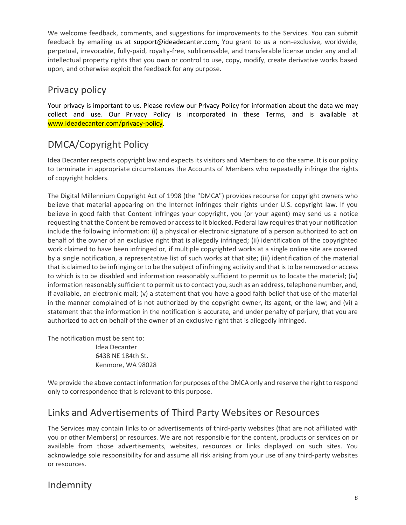We welcome feedback, comments, and suggestions for improvements to the Services. You can submit feedback by emailing us at support@ideadecanter.com. You grant to us a non-exclusive, worldwide, perpetual, irrevocable, fully-paid, royalty-free, sublicensable, and transferable license under any and all intellectual property rights that you own or control to use, copy, modify, create derivative works based upon, and otherwise exploit the feedback for any purpose.

## Privacy policy

Your privacy is important to us. Please review our Privacy Policy for information about the data we may collect and use. Our Privacy Policy is incorporated in these Terms, and is available at www.ideadecanter.com/privacy-policy.

# DMCA/Copyright Policy

Idea Decanter respects copyright law and expects its visitors and Members to do the same. It is our policy to terminate in appropriate circumstances the Accounts of Members who repeatedly infringe the rights of copyright holders.

The Digital Millennium Copyright Act of 1998 (the "DMCA") provides recourse for copyright owners who believe that material appearing on the Internet infringes their rights under U.S. copyright law. If you believe in good faith that Content infringes your copyright, you (or your agent) may send us a notice requesting that the Content be removed or access to it blocked. Federal law requires that your notification include the following information: (i) a physical or electronic signature of a person authorized to act on behalf of the owner of an exclusive right that is allegedly infringed; (ii) identification of the copyrighted work claimed to have been infringed or, if multiple copyrighted works at a single online site are covered by a single notification, a representative list of such works at that site; (iii) identification of the material that is claimed to be infringing or to be the subject of infringing activity and that is to be removed or access to which is to be disabled and information reasonably sufficient to permit us to locate the material; (iv) information reasonably sufficient to permit us to contact you, such as an address, telephone number, and, if available, an electronic mail; (v) a statement that you have a good faith belief that use of the material in the manner complained of is not authorized by the copyright owner, its agent, or the law; and (vi) a statement that the information in the notification is accurate, and under penalty of perjury, that you are authorized to act on behalf of the owner of an exclusive right that is allegedly infringed.

The notification must be sent to: Idea Decanter 6438 NE 184th St. Kenmore, WA 98028

We provide the above contact information for purposes of the DMCA only and reserve the right to respond only to correspondence that is relevant to this purpose.

## Links and Advertisements of Third Party Websites or Resources

The Services may contain links to or advertisements of third-party websites (that are not affiliated with you or other Members) or resources. We are not responsible for the content, products or services on or available from those advertisements, websites, resources or links displayed on such sites. You acknowledge sole responsibility for and assume all risk arising from your use of any third-party websites or resources.

## Indemnity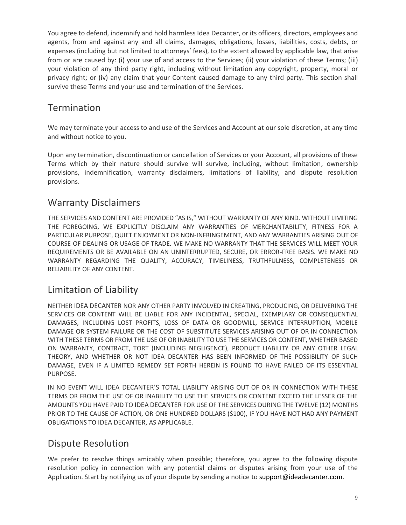You agree to defend, indemnify and hold harmless Idea Decanter, or its officers, directors, employees and agents, from and against any and all claims, damages, obligations, losses, liabilities, costs, debts, or expenses (including but not limited to attorneys' fees), to the extent allowed by applicable law, that arise from or are caused by: (i) your use of and access to the Services; (ii) your violation of these Terms; (iii) your violation of any third party right, including without limitation any copyright, property, moral or privacy right; or (iv) any claim that your Content caused damage to any third party. This section shall survive these Terms and your use and termination of the Services.

#### Termination

We may terminate your access to and use of the Services and Account at our sole discretion, at any time and without notice to you.

Upon any termination, discontinuation or cancellation of Services or your Account, all provisions of these Terms which by their nature should survive will survive, including, without limitation, ownership provisions, indemnification, warranty disclaimers, limitations of liability, and dispute resolution provisions.

## Warranty Disclaimers

THE SERVICES AND CONTENT ARE PROVIDED "AS IS," WITHOUT WARRANTY OF ANY KIND. WITHOUT LIMITING THE FOREGOING, WE EXPLICITLY DISCLAIM ANY WARRANTIES OF MERCHANTABILITY, FITNESS FOR A PARTICULAR PURPOSE, QUIET ENJOYMENT OR NON-INFRINGEMENT, AND ANY WARRANTIES ARISING OUT OF COURSE OF DEALING OR USAGE OF TRADE. WE MAKE NO WARRANTY THAT THE SERVICES WILL MEET YOUR REQUIREMENTS OR BE AVAILABLE ON AN UNINTERRUPTED, SECURE, OR ERROR-FREE BASIS. WE MAKE NO WARRANTY REGARDING THE QUALITY, ACCURACY, TIMELINESS, TRUTHFULNESS, COMPLETENESS OR RELIABILITY OF ANY CONTENT.

## Limitation of Liability

NEITHER IDEA DECANTER NOR ANY OTHER PARTY INVOLVED IN CREATING, PRODUCING, OR DELIVERING THE SERVICES OR CONTENT WILL BE LIABLE FOR ANY INCIDENTAL, SPECIAL, EXEMPLARY OR CONSEQUENTIAL DAMAGES, INCLUDING LOST PROFITS, LOSS OF DATA OR GOODWILL, SERVICE INTERRUPTION, MOBILE DAMAGE OR SYSTEM FAILURE OR THE COST OF SUBSTITUTE SERVICES ARISING OUT OF OR IN CONNECTION WITH THESE TERMS OR FROM THE USE OF OR INABILITY TO USE THE SERVICES OR CONTENT, WHETHER BASED ON WARRANTY, CONTRACT, TORT (INCLUDING NEGLIGENCE), PRODUCT LIABILITY OR ANY OTHER LEGAL THEORY, AND WHETHER OR NOT IDEA DECANTER HAS BEEN INFORMED OF THE POSSIBILITY OF SUCH DAMAGE, EVEN IF A LIMITED REMEDY SET FORTH HEREIN IS FOUND TO HAVE FAILED OF ITS ESSENTIAL PURPOSE.

IN NO EVENT WILL IDEA DECANTER'S TOTAL LIABILITY ARISING OUT OF OR IN CONNECTION WITH THESE TERMS OR FROM THE USE OF OR INABILITY TO USE THE SERVICES OR CONTENT EXCEED THE LESSER OF THE AMOUNTS YOU HAVE PAID TO IDEA DECANTER FOR USE OF THE SERVICES DURING THE TWELVE (12) MONTHS PRIOR TO THE CAUSE OF ACTION, OR ONE HUNDRED DOLLARS (\$100), IF YOU HAVE NOT HAD ANY PAYMENT OBLIGATIONS TO IDEA DECANTER, AS APPLICABLE.

## Dispute Resolution

We prefer to resolve things amicably when possible; therefore, you agree to the following dispute resolution policy in connection with any potential claims or disputes arising from your use of the Application. Start by notifying us of your dispute by sending a notice to support@ideadecanter.com.